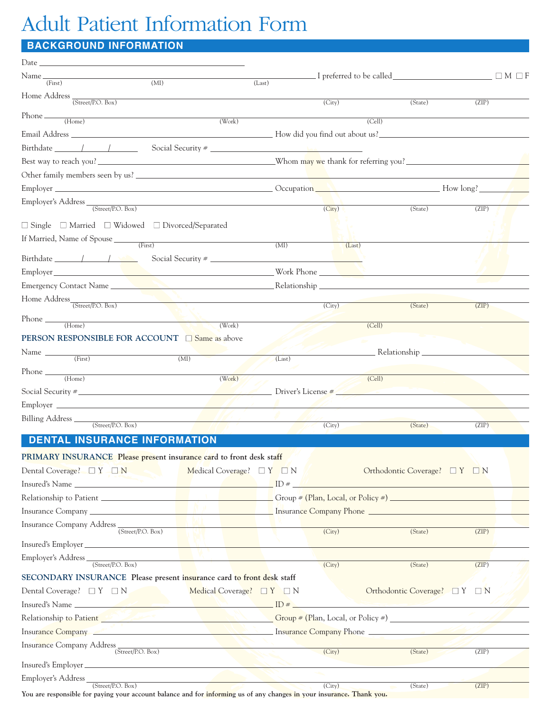## Adult Patient Information Form

## **BACKGROUND INFORMATION**

| $Date \_$                                                                                                                                                                                                                            |        |                     |                                       |       |
|--------------------------------------------------------------------------------------------------------------------------------------------------------------------------------------------------------------------------------------|--------|---------------------|---------------------------------------|-------|
| (MI)<br>(First)                                                                                                                                                                                                                      | (Last) |                     | $\Box M \Box F$                       |       |
|                                                                                                                                                                                                                                      |        |                     |                                       |       |
| Home Address $\frac{}{\text{(Street/P.O. Box)}}$                                                                                                                                                                                     |        | (City)              | (State)                               | (ZIP) |
| $Phone \t\t\t (Home)$<br>(Work)                                                                                                                                                                                                      |        |                     | (Cell)                                |       |
|                                                                                                                                                                                                                                      |        |                     |                                       |       |
|                                                                                                                                                                                                                                      |        |                     |                                       |       |
|                                                                                                                                                                                                                                      |        |                     |                                       |       |
|                                                                                                                                                                                                                                      |        |                     |                                       |       |
| Employer How long? How long New York 1999 and 2008 and 2009 and 2009 and 2009 and 2009 and 2009 and 2009 and 2009 and 2009 and 2009 and 2009 and 2009 and 2009 and 2009 and 2009 and 2009 and 2009 and 2009 and 2009 and 2009        |        |                     |                                       |       |
| Employer's Address <u>(Street/P.O. Box)</u>                                                                                                                                                                                          |        |                     |                                       |       |
|                                                                                                                                                                                                                                      |        | (City)              | (State)                               | (ZIP) |
| $\Box$ Single $\Box$ Married $\Box$ Widowed $\Box$ Divorced/Separated                                                                                                                                                                |        |                     |                                       |       |
|                                                                                                                                                                                                                                      | (MI)   | (Last)              |                                       |       |
| $Birthdate$ / / /<br>Social Security #                                                                                                                                                                                               |        |                     |                                       |       |
|                                                                                                                                                                                                                                      |        |                     |                                       |       |
|                                                                                                                                                                                                                                      |        |                     |                                       |       |
| Home $\mbox{Address}_{\overline{\mbox{(Street/P.O. Box)}}}$                                                                                                                                                                          |        |                     |                                       |       |
|                                                                                                                                                                                                                                      |        | (City)              | (State)                               | (ZIP) |
| $Phone \t\t (Home)$<br>(Work)                                                                                                                                                                                                        |        |                     | (Cell)                                |       |
| <b>PERSON RESPONSIBLE FOR ACCOUNT</b> $\Box$ Same as above                                                                                                                                                                           |        |                     |                                       |       |
| Name $\frac{ }{ \text{ (First)} }$<br>(MI)                                                                                                                                                                                           | (Last) |                     | Relationship _____                    |       |
|                                                                                                                                                                                                                                      |        |                     |                                       |       |
| $Phone \_ (Home)$<br>(Work)                                                                                                                                                                                                          |        |                     | (Cell)                                |       |
| Social Security $\frac{1}{2}$ Driver's License $\frac{1}{2}$                                                                                                                                                                         |        |                     |                                       |       |
|                                                                                                                                                                                                                                      |        |                     |                                       |       |
| Billing Address<br>(Street/P.O. Box)                                                                                                                                                                                                 |        | $\overline{(City)}$ | (State)                               | (ZIP) |
| <b>DENTAL INSURANCE INFORMATION</b>                                                                                                                                                                                                  |        |                     |                                       |       |
|                                                                                                                                                                                                                                      |        |                     |                                       |       |
| PRIMARY INSURANCE Please present insurance card to front desk staff<br>Dental Coverage? $\Box$ $Y$ $\Box$ $N$                                                                                                                        |        |                     | Orthodontic Coverage? $\Box Y \Box N$ |       |
| Medical Coverage? $\Box Y \Box N$                                                                                                                                                                                                    |        |                     |                                       |       |
|                                                                                                                                                                                                                                      |        |                     |                                       |       |
|                                                                                                                                                                                                                                      |        |                     |                                       |       |
|                                                                                                                                                                                                                                      |        |                     |                                       |       |
| Insurance Company Address (Street/P.O. Box)                                                                                                                                                                                          |        | (City)              | (State)                               | (ZIP) |
| Insured's Employer                                                                                                                                                                                                                   |        |                     |                                       |       |
| the contract of the contract of the contract of the contract of the contract of the contract of the contract of                                                                                                                      |        | (City)              | (State)                               | (ZIP) |
| SECONDARY INSURANCE Please present insurance card to front desk staff                                                                                                                                                                |        |                     |                                       |       |
| Dental Coverage? $\Box Y \Box N$<br>Medical Coverage? $\Box Y \Box N$                                                                                                                                                                |        |                     | Orthodontic Coverage? □ Y □ N         |       |
| ID # Los Contrarios Contrarios Contrarios Contrarios Contrarios Contrarios Contrarios Contrarios Contrarios Contrarios Contrarios Contrarios Contrarios Contrarios Contrarios Contrarios Contrarios Contrarios Contrarios Cont       |        |                     |                                       |       |
| Relationship to Patient <b>Constant of the Constant of Constantine Constant Constantine Constantine Constantine Constantine Constantine Constantine Constantine Constantine Constantine Constantine Constantine Constantine Cons</b> |        |                     |                                       |       |
| Insurance Company <b>Service Company Company insurance Company Phone Company Phone</b>                                                                                                                                               |        |                     |                                       |       |
| Insurance Company Address (Street/P.O. Box)                                                                                                                                                                                          |        |                     |                                       |       |
|                                                                                                                                                                                                                                      |        | (City)              | (State)                               | (ZIP) |
|                                                                                                                                                                                                                                      |        |                     |                                       |       |
| Employer's Address<br>the contract of the contract of the contract of the contract of the contract of<br>(Street/P.O. Box)                                                                                                           |        | (City)              | (State)                               | (ZIP) |

You are responsible for paying your account balance and for informing us of any changes in your insurance. Thank you.